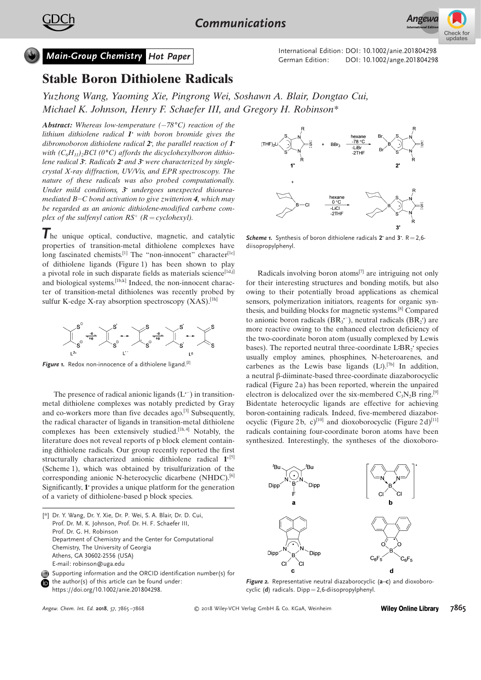

## Stable Boron Dithiolene Radicals

[Yuzhong](http://orcid.org/0000-0003-3557-5085) Wang[, Yaoming](http://orcid.org/0000-0003-3557-5085) Xie, [Pingrong](http://orcid.org/0000-0003-3557-5085) Wei, [Soshawn](http://orcid.org/0000-0003-3557-5085) A. Blair, [Dongtao](http://orcid.org/0000-0003-3557-5085) Cui, [Michael](http://orcid.org/0000-0003-3557-5085) K. [Johnson,](http://orcid.org/0000-0003-3557-5085) [Henry](http://orcid.org/0000-0003-0252-2083) F. [Schaefer](http://orcid.org/0000-0003-0252-2083) III, and [Gregory](http://orcid.org/0000-0002-2260-3019) H. [Robinson\\*](http://orcid.org/0000-0002-2260-3019)

**Abstract:** Whereas low-temperature  $(-78^{\circ}C)$  reaction of the lithium dithiolene radical  $\mathbf{I}^*$  with boron bromide gives the dibromoboron dithiolene radical  $2$ , the parallel reaction of  $\Gamma$ with  $(C_6H_{11})_2BCl$  (0°C) affords the dicyclohexylboron dithiolene radical  $3$ . Radicals  $2$  and  $3$  were characterized by singlecrystal X-ray diffraction, UV/Vis, and EPR spectroscopy. The nature of these radicals was also probed computationally. Under mild conditions,  $3^{\circ}$  undergoes unexpected thioureamediated  $B-C$  bond activation to give zwitterion 4, which may be regarded as an anionic dithiolene-modified carbene complex of the sulfenyl cation  $RS^+$  ( $R = cyclohexyl$ ).

The unique optical, conductive, magnetic, and catalytic properties of transition-metal dithiolene complexes have long fascinated chemists.<sup>[1]</sup> The "non-innocent" character<sup>[1c]</sup> of dithiolene ligands (Figure 1) has been shown to play a pivotal role in such disparate fields as materials science<sup>[1d,j]</sup> and biological systems.<sup>[1b,k]</sup> Indeed, the non-innocent character of transition-metal dithiolenes was recently probed by sulfur K-edge X-ray absorption spectroscopy  $(XAS)$ .<sup>[1h]</sup>



Figure 1. Redox non-innocence of a dithiolene ligand.<sup>[2]</sup>

The presence of radical anionic ligands  $(L^-)$  in transitionmetal dithiolene complexes was notably predicted by Gray and co-workers more than five decades ago.<sup>[3]</sup> Subsequently, the radical character of ligands in transition-metal dithiolene complexes has been extensively studied.<sup>[1h,4]</sup> Notably, the literature does not reveal reports of p block element containing dithiolene radicals. Our group recently reported the first structurally characterized anionic dithiolene radical  $1^{5}$ (Scheme 1), which was obtained by trisulfurization of the corresponding anionic N-heterocyclic dicarbene (NHDC).<sup>[6]</sup> Significantly,  $\mathbf{1}^{\cdot}$  provides a unique platform for the generation of a variety of dithiolene-based p block species.



**Scheme 1.** Synthesis of boron dithiolene radicals 2 and 3.  $R = 2.6$ diisopropylphenyl.

Radicals involving boron atoms<sup>[7]</sup> are intriguing not only for their interesting structures and bonding motifs, but also owing to their potentially broad applications as chemical sensors, polymerization initiators, reagents for organic synthesis, and building blocks for magnetic systems. [8] Compared to anionic boron radicals  $(BR_3^{\text{-}})$ , neutral radicals  $(BR_2^{\text{-}})$  are .<br>. more reactive owing to the enhanced electron deficiency of the two-coordinate boron atom (usually complexed by Lewis  $\frac{1}{2}$  bases). The reported neutral three-coordinate LBR<sub>2</sub>' species .<br>. usually employ amines, phosphines, N-heteroarenes, and carbenes as the Lewis base ligands  $(L^{\bullet})$ .<sup>[7b]</sup> In addition, a neutral  $\beta$ -diiminate-based three-coordinate diazaborocyclic radical (Figure 2a) has been reported, wherein the unpaired electron is delocalized over the six-membered  $C_3N_2B$  ring.<sup>[9]</sup> Bidentate heterocyclic ligands are effective for achieving boron-containing radicals. Indeed, five-membered diazaborocyclic (Figure 2b, c)<sup>[10]</sup> and dioxoborocyclic (Figure 2d)<sup>[11]</sup> radicals containing four-coordinate boron atoms have been synthesized. Interestingly, the syntheses of the dioxoboro-



Figure 2. Representative neutral diazaborocyclic (a-c) and dioxoborocyclic  $(d)$  radicals. Dipp=2.6-diisopropylphenyl.

<sup>[\*]</sup> Dr. Y. Wang, Dr. Y. Xie, Dr. P. Wei, S. A. Blair, Dr. D. Cui, Prof. Dr. M. K. Johnson, Prof. Dr. H. F. Schaefer III, Prof. Dr. G. H. Robinson Department of Chemistry and the Center for Computational Chemistry, The University of Georgia Athens, GA 30602-2556 (USA) E-mail: robinson@uga.edu Supporting information and the ORCID identification number(s) for

the author(s) of this article can be found under: ⋒ [https://doi.org/10.1002/anie.201804298.](https://doi.org/10.1002/anie.201804298)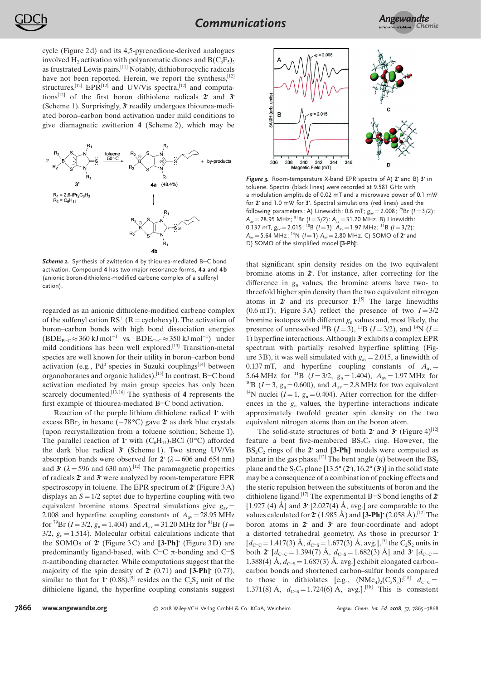cycle (Figure 2 d) and its 4,5-pyrenedione-derived analogues involved H<sub>2</sub> activation with polyaromatic diones and  $B(C_6F_5)$ <sub>3</sub> as frustrated Lewis pairs.<sup>[11]</sup> Notably, dithioborocyclic radicals have not been reported. Herein, we report the synthesis, [12] structures,  $^{[12]}$  EPR $^{[12]}$  and UV/Vis spectra,  $^{[12]}$  and computations<sup>[12]</sup> of the first boron dithiolene radicals  $2^{\circ}$  and  $3^{\circ}$ (Scheme 1). Surprisingly,  $3$  readily undergoes thiourea-mediated boron–carbon bond activation under mild conditions to give diamagnetic zwitterion 4 (Scheme 2), which may be



**Scheme 2.** Synthesis of zwitterion  $4$  by thiourea-mediated B-C bond activation. Compound 4 has two major resonance forms, 4a and 4b (anionic boron-dithiolene-modified carbene complex of a sulfenyl cation).

regarded as an anionic dithiolene-modified carbene complex of the sulfenyl cation  $RS^+(R = cycle0$  Chexyl). The activation of boron–carbon bonds with high bond dissociation energies  $(BDE_{B-C} \approx 360 \text{ kJ mol}^{-1} \text{ vs. } BDE_{C-C} \approx 350 \text{ kJ mol}^{-1} \text{ under}$ mild conditions has been well explored.[13] Transition-metal species are well known for their utility in boron–carbon bond activation (e.g.,  $Pd^0$  species in Suzuki couplings<sup>[14]</sup> between organoboranes and organic halides).<sup>[15]</sup> In contrast, B-C bond activation mediated by main group species has only been scarcely documented.<sup>[13, 16]</sup> The synthesis of 4 represents the first example of thiourea-mediated  $B-C$  bond activation.

Reaction of the purple lithium dithiolene radical 1 with excess  $BBr_3$  in hexane  $(-78^{\circ}\text{C})$  gave 2 as dark blue crystals (upon recrystallization from a toluene solution; Scheme 1). The parallel reaction of 1 with  $(C_6H_{11})_2BCl$  (0 °C) afforded the dark blue radical  $3'$  (Scheme 1). Two strong UV/Vis absorption bands were observed for 2  $(\lambda = 606$  and 654 nm) and 3 ( $\lambda$  = 596 and 630 nm).<sup>[12]</sup> The paramagnetic properties of radicals  $2$  and  $3$  were analyzed by room-temperature EPR spectroscopy in toluene. The EPR spectrum of  $2^{\circ}$  (Figure 3A) displays an  $S = 1/2$  septet due to hyperfine coupling with two equivalent bromine atoms. Spectral simulations give  $g_{av}$  = 2.008 and hyperfine coupling constants of  $A_{av} = 28.95 \text{ MHz}$ for <sup>79</sup>Br ( $I = 3/2$ ,  $g_n = 1.404$ ) and  $A_{av} = 31.20$  MHz for <sup>81</sup>Br ( $I =$  $3/2$ ,  $g_n = 1.514$ ). Molecular orbital calculations indicate that the SOMOs of  $2^{\cdot}$  (Figure 3C) and  $[3-Ph]'$  (Figure 3D) are predominantly ligand-based, with C $-C \pi$ -bonding and C $-S$  $\pi$ -antibonding character. While computations suggest that the majority of the spin density of  $2^{\circ}$  (0.71) and [3-Ph] $^{\circ}$  (0.77), similar to that for 1 (0.88),<sup>[5]</sup> resides on the  $C_2S_2$  unit of the dithiolene ligand, the hyperfine coupling constants suggest



Figure 3. Room-temperature X-band EPR spectra of A)  $2^{\circ}$  and B)  $3^{\circ}$  in toluene. Spectra (black lines) were recorded at 9.581 GHz with a modulation amplitude of 0.02 mT and a microwave power of 0.1 mW for  $2$  and 1.0 mW for  $3$ . Spectral simulations (red lines) used the following parameters: A) Linewidth: 0.6 mT;  $g_{av} = 2.008$ ; <sup>79</sup>Br ( $l = 3/2$ ):  $A_{av}$  = 28.95 MHz; <sup>81</sup>Br (I = 3/2):  $A_{av}$  = 31.20 MHz. B) Linewidth: 0.137 mT,  $g_{av} = 2.015$ ; <sup>10</sup>B ( $l = 3$ ):  $A_{av} = 1.97$  MHz; <sup>11</sup>B ( $l = 3/2$ ):  $A_{av} = 5.64 \text{ MHz}$ ,  ${}^{14}\text{N}$  ( $l = 1$ )  $A_{av} = 2.80 \text{ MHz}$ . C) SOMO of 2 and D) SOMO of the simplified model [3-Ph].

that significant spin density resides on the two equivalent bromine atoms in 2. For instance, after correcting for the difference in  $g_n$  values, the bromine atoms have two- to threefold higher spin density than the two equivalent nitrogen atoms in 2 and its precursor  $1$ <sup>[5]</sup>. The large linewidths (0.6 mT); Figure 3A) reflect the presence of two  $I = 3/2$ bromine isotopes with different  $g_n$  values and, most likely, the presence of unresolved <sup>10</sup>B ( $I = 3$ ), <sup>11</sup>B ( $I = 3/2$ ), and <sup>14</sup>N ( $I =$ 1) hyperfine interactions. Although  $3$  exhibits a complex EPR spectrum with partially resolved hyperfine splitting (Figure 3 B), it was well simulated with  $g_{av} = 2.015$ , a linewidth of 0.137 mT, and hyperfine coupling constants of  $A_{av} =$ 5.64 MHz for <sup>11</sup>B ( $I = 3/2$ ,  $g_n = 1.404$ ),  $A_{av} = 1.97$  MHz for <sup>10</sup>B (*I* = 3,  $g_n$  = 0.600), and  $A_{av}$  = 2.8 MHz for two equivalent <sup>14</sup>N nuclei ( $I = 1$ ,  $g_n = 0.404$ ). After correction for the differences in the  $g_n$  values, the hyperfine interactions indicate approximately twofold greater spin density on the two equivalent nitrogen atoms than on the boron atom.

The solid-state structures of both 2 and 3 (Figure 4)<sup>[12]</sup> feature a bent five-membered  $BS_2C_2$  ring. However, the BS<sub>2</sub>C<sub>2</sub> rings of the 2<sup>2</sup> and  $[3-Ph]$  models were computed as planar in the gas phase.<sup>[12]</sup> The bent angle ( $\eta$ ) between the BS<sub>2</sub> plane and the  $S_2C_2$  plane [13.5° (2°), 16.2° (3°)] in the solid state may be a consequence of a combination of packing effects and the steric repulsion between the substituents of boron and the dithiolene ligand.<sup>[17]</sup> The experimental B-S bond lengths of 2<sup>t</sup> [1.927 (4) Å] and 3 [2.027(4) Å, avg.] are comparable to the values calculated for  $2^{\cdot}$  (1.985 Å) and [3-Ph] $\cdot$  (2.058 Å).<sup>[12]</sup> The boron atoms in  $2^{\circ}$  and  $3^{\circ}$  are four-coordinate and adopt a distorted tetrahedral geometry. As those in precursor 1  $[d_{\text{C-C}} = 1.417(3)$  Å,  $d_{\text{C-S}} = 1.677(3)$  Å, avg.],<sup>[5]</sup> the C<sub>2</sub>S<sub>2</sub> units in both 2  $[d_{C-C} = 1.394(7)$  Å,  $d_{C-S} = 1.682(3)$  Å] and 3  $[d_{C-C} =$ 1.388(4)  $\AA$ ,  $d_{C-S} = 1.687(3)$   $\AA$ , avg.] exhibit elongated carbon– carbon bonds and shortened carbon–sulfur bonds compared to those in dithiolates [e.g.,  $(NMe<sub>4</sub>)<sub>2</sub>(C<sub>3</sub>S<sub>5</sub>)$ :<sup>[18]</sup>  $d<sub>C-C</sub> =$ 1.371(8) Å,  $d_{C-S} = 1.724(6)$  Å, avg.].<sup>[1b]</sup> This is consistent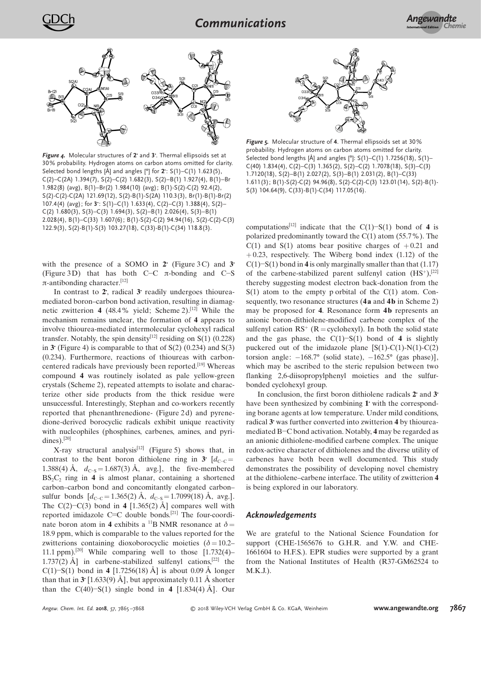

Figure 4. Molecular structures of  $2^{\cdot}$  and  $3^{\cdot}$ . Thermal ellipsoids set at 30% probability. Hydrogen atoms on carbon atoms omitted for clarity. Selected bond lengths [Å] and angles [ $°$ ] for  $2$ : S(1)–C(1) 1.623(5), C(2)–C(2A) 1.394(7), S(2)–C(2) 1.682(3), S(2)–B(1) 1.927(4), B(1)–Br 1.982(8) (avg), B(1)–Br(2) 1.984(10) (avg); B(1)-S(2)-C(2) 92.4(2), S(2)-C(2)-C(2A) 121.69(12), S(2)-B(1)-S(2A) 110.3(3), Br(1)-B(1)-Br(2) 107.4(4) (avg); for  $3: S(1)$ –C(1) 1.633(4), C(2)–C(3) 1.388(4), S(2)–  $C(2)$  1.680(3), S(3)– $C(3)$  1.694(3), S(2)–B(1) 2.026(4), S(3)–B(1) 2.028(4), B(1)–C(33) 1.607(6); B(1)-S(2)-C(2) 94.94(16), S(2)-C(2)-C(3) 122.9(3), S(2)-B(1)-S(3) 103.27(18), C(33)-B(1)-C(34) 118.8(3).

with the presence of a SOMO in  $2^{\circ}$  (Figure 3C) and 3 (Figure 3D) that has both C-C  $\pi$ -bonding and C-S π-antibonding character.<sup>[12]</sup>

In contrast to  $2$ , radical  $3$  readily undergoes thioureamediated boron–carbon bond activation, resulting in diamagnetic zwitterion 4 (48.4% yield; Scheme 2).<sup>[12]</sup> While the mechanism remains unclear, the formation of 4 appears to involve thiourea-mediated intermolecular cyclohexyl radical transfer. Notably, the spin density<sup>[12]</sup> residing on S(1) (0.228) in 3 (Figure 4) is comparable to that of  $S(2)$  (0.234) and  $S(3)$ (0.234). Furthermore, reactions of thioureas with carboncentered radicals have previously been reported.[19] Whereas compound 4 was routinely isolated as pale yellow-green crystals (Scheme 2), repeated attempts to isolate and characterize other side products from the thick residue were unsuccessful. Interestingly, Stephan and co-workers recently reported that phenanthrenedione- (Figure 2 d) and pyrenedione-derived borocyclic radicals exhibit unique reactivity with nucleophiles (phosphines, carbenes, amines, and pyridines).<sup>[20]</sup>

X-ray structural analysis<sup>[12]</sup> (Figure 5) shows that, in contrast to the bent boron dithiolene ring in 3  $[d_{C-C}$  = 1.388(4) Å,  $d_{C-S} = 1.687(3)$  Å, avg.], the five-membered  $BS_2C_2$  ring in 4 is almost planar, containing a shortened carbon–carbon bond and concomitantly elongated carbon– sulfur bonds  $[d_{C-C} = 1.365(2) \text{ Å}, d_{C-S} = 1.7099(18) \text{ Å}, \text{avg.}].$ The C(2)–C(3) bond in 4 [1.365(2) Å] compares well with reported imidazole C=C double bonds.<sup>[21]</sup> The four-coordinate boron atom in 4 exhibits a <sup>11</sup>B NMR resonance at  $\delta$  = 18.9 ppm, which is comparable to the values reported for the zwitterions containing dioxoborocyclic moieties ( $\delta = 10.2-$ 11.1 ppm).<sup>[20]</sup> While comparing well to those  $[1.732(4)–$ 1.737(2) Å] in carbene-stabilized sulfenyl cations,<sup>[22]</sup> the C(1)–S(1) bond in 4 [1.7256(18) Å] is about 0.09 Å longer than that in  $3^{\circ}$  [1.633(9) Å], but approximately 0.11 Å shorter than the  $C(40)$ -S(1) single bond in 4 [1.834(4) Å]. Our



Figure 5. Molecular structure of 4. Thermal ellipsoids set at 30% probability. Hydrogen atoms on carbon atoms omitted for clarity. Selected bond lengths [Å] and angles [ $°$ ]: S(1)–C(1) 1.7256(18), S(1)–  $C(40)$  1.834(4),  $C(2) - C(3)$  1.365(2),  $S(2) - C(2)$  1.7078(18),  $S(3) - C(3)$ 1.7120(18), S(2)–B(1) 2.027(2), S(3)–B(1) 2.031(2), B(1)–C(33) 1.611(3); B(1)-S(2)-C(2) 94.96(8), S(2)-C(2)-C(3) 123.01(14), S(2)-B(1)- S(3) 104.64(9), C(33)-B(1)-C(34) 117.05(16).

computations<sup>[12]</sup> indicate that the C(1)–S(1) bond of 4 is polarized predominantly toward the C(1) atom (55.7%). The  $C(1)$  and  $S(1)$  atoms bear positive charges of  $+0.21$  and  $+ 0.23$ , respectively. The Wiberg bond index (1.12) of the  $C(1)-S(1)$  bond in 4 is only marginally smaller than that (1.17) of the carbene-stabilized parent sulfenyl cation  $(HS^{+})$ , [22] thereby suggesting modest electron back-donation from the  $S(1)$  atom to the empty p orbital of the  $C(1)$  atom. Consequently, two resonance structures (4a and 4b in Scheme 2) may be proposed for 4. Resonance form 4b represents an anionic boron-dithiolene-modified carbene complex of the sulfenyl cation  $RS^+$  ( $R =$  cyclohexyl). In both the solid state and the gas phase, the  $C(1)$ -S(1) bond of 4 is slightly puckered out of the imidazole plane  $[S(1)-C(1)-N(1)-C(2)]$ torsion angle:  $-168.7^{\circ}$  (solid state),  $-162.5^{\circ}$  (gas phase)], which may be ascribed to the steric repulsion between two flanking 2,6-diisopropylphenyl moieties and the sulfurbonded cyclohexyl group.

In conclusion, the first boron dithiolene radicals  $2^{\circ}$  and  $3^{\circ}$ have been synthesized by combining  $\mathbf{1}^{\cdot}$  with the corresponding borane agents at low temperature. Under mild conditions, radical  $3$  was further converted into zwitterion  $4$  by thioureamediated B-C bond activation. Notably, 4 may be regarded as an anionic dithiolene-modified carbene complex. The unique redox-active character of dithiolenes and the diverse utility of carbenes have both been well documented. This study demonstrates the possibility of developing novel chemistry at the dithiolene–carbene interface. The utility of zwitterion 4 is being explored in our laboratory.

## Acknowledgements

We are grateful to the National Science Foundation for support (CHE-1565676 to G.H.R. and Y.W. and CHE-1661604 to H.F.S.). EPR studies were supported by a grant from the National Institutes of Health (R37-GM62524 to M.K.J.).